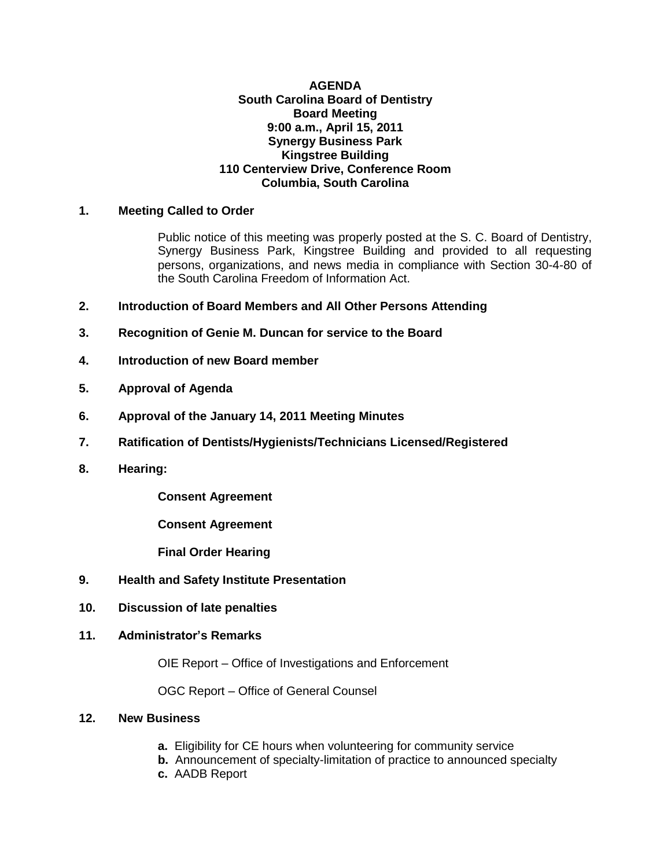#### **AGENDA South Carolina Board of Dentistry Board Meeting 9:00 a.m., April 15, 2011 Synergy Business Park Kingstree Building 110 Centerview Drive, Conference Room Columbia, South Carolina**

## **1. Meeting Called to Order**

Public notice of this meeting was properly posted at the S. C. Board of Dentistry, Synergy Business Park, Kingstree Building and provided to all requesting persons, organizations, and news media in compliance with Section 30-4-80 of the South Carolina Freedom of Information Act.

- **2. Introduction of Board Members and All Other Persons Attending**
- **3. Recognition of Genie M. Duncan for service to the Board**
- **4. Introduction of new Board member**
- **5. Approval of Agenda**
- **6. Approval of the January 14, 2011 Meeting Minutes**
- **7. Ratification of Dentists/Hygienists/Technicians Licensed/Registered**
- **8. Hearing:**

**Consent Agreement** 

**Consent Agreement** 

**Final Order Hearing** 

- **9. Health and Safety Institute Presentation**
- **10. Discussion of late penalties**

## **11. Administrator's Remarks**

OIE Report – Office of Investigations and Enforcement

OGC Report – Office of General Counsel

#### **12. New Business**

- **a.** Eligibility for CE hours when volunteering for community service
- **b.** Announcement of specialty-limitation of practice to announced specialty
- **c.** AADB Report